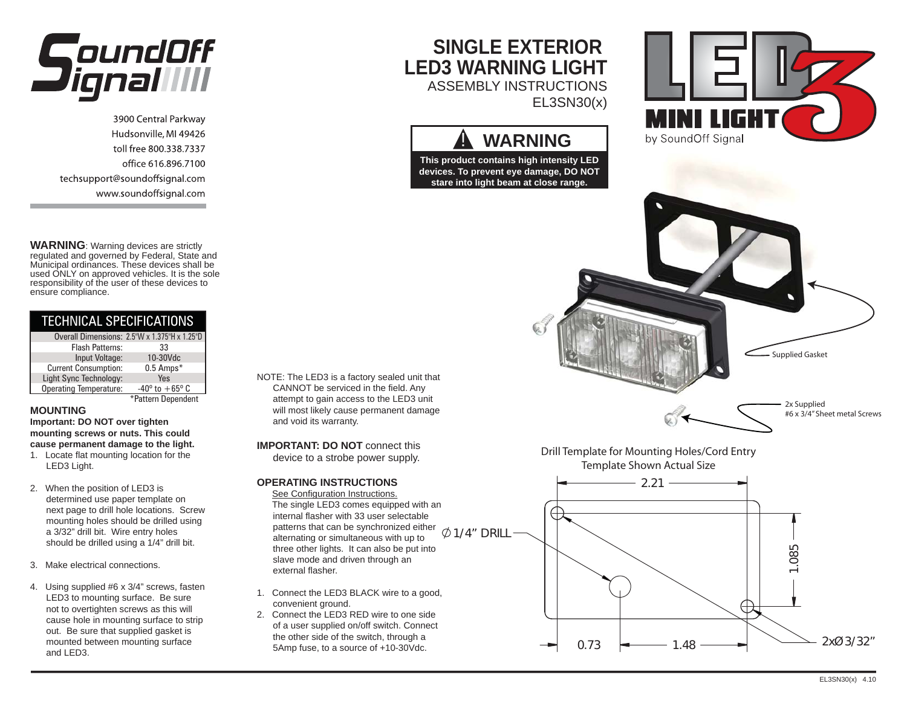

3900 Central Parkway Hudsonville, MI 49426 toll free 800.338.7337 office 616.896.7100 techsupport@soundoffsignal.com www.soundoffsignal.com

**WARNING**: Warning devices are strictly regulated and governed by Federal, State and Municipal ordinances. These devices shall be used ONLY on approved vehicles. It is the sole responsibility of the user of these devices to ensure compliance.

| TECHNICAL SPECIFICATIONS      |                                              |  |  |  |
|-------------------------------|----------------------------------------------|--|--|--|
|                               | Overall Dimensions: 2.5"W x 1.375"H x 1.25"D |  |  |  |
| Flash Patterns:               | 33                                           |  |  |  |
| Input Voltage:                | 10-30Vdc                                     |  |  |  |
| <b>Current Consumption:</b>   | $0.5$ Amps $*$                               |  |  |  |
| Light Sync Technology:        | Yes                                          |  |  |  |
| <b>Operating Temperature:</b> | $-40^{\circ}$ to $+65^{\circ}$ C             |  |  |  |
|                               | Pattern Denendent                            |  |  |  |

### **MOUNTING**

 **Important: DO NOT over tighten mounting screws or nuts. This could cause permanent damage to the light.**

- 1. Locate flat mounting location for the LED3 Light.
- 2. When the position of LED3 is determined use paper template on next page to drill hole locations. Screw mounting holes should be drilled using a 3/32" drill bit. Wire entry holes should be drilled using a 1/4" drill bit.
- 3. Make electrical connections.
- 4. Using supplied #6 x 3/4" screws, fasten LED3 to mounting surface. Be sure not to overtighten screws as this will cause hole in mounting surface to strip out. Be sure that supplied gasket is mounted between mounting surface and LED3.

### NOTE: The LED3 is a factory sealed unit that CANNOT be serviced in the field. Any attempt to gain access to the LED3 unit will most likely cause permanent damage and void its warranty.

**IMPORTANT: DO NOT** connect this device to a strobe power supply.

## **OPERATING INSTRUCTIONS**

 See Configuration Instructions. The single LED3 comes equipped with an internal flasher with 33 user selectable patterns that can be synchronized either alternating or simultaneous with up to three other lights. It can also be put into slave mode and driven through an external flasher. $Ø$ 1/4" DRILL

**SINGLE EXTERIOR** 

**A WARNING** 

EL3SN30(x)

**LED3 WARNING LIGHT**ASSEMBLY INSTRUCTIONS

- 1. Connect the LED3 BLACK wire to a good, convenient ground.
- 2. Connect the LED3 RED wire to one side of a user supplied on/off switch. Connect the other side of the switch, through a 5Amp fuse, to a source of +10-30Vdc.